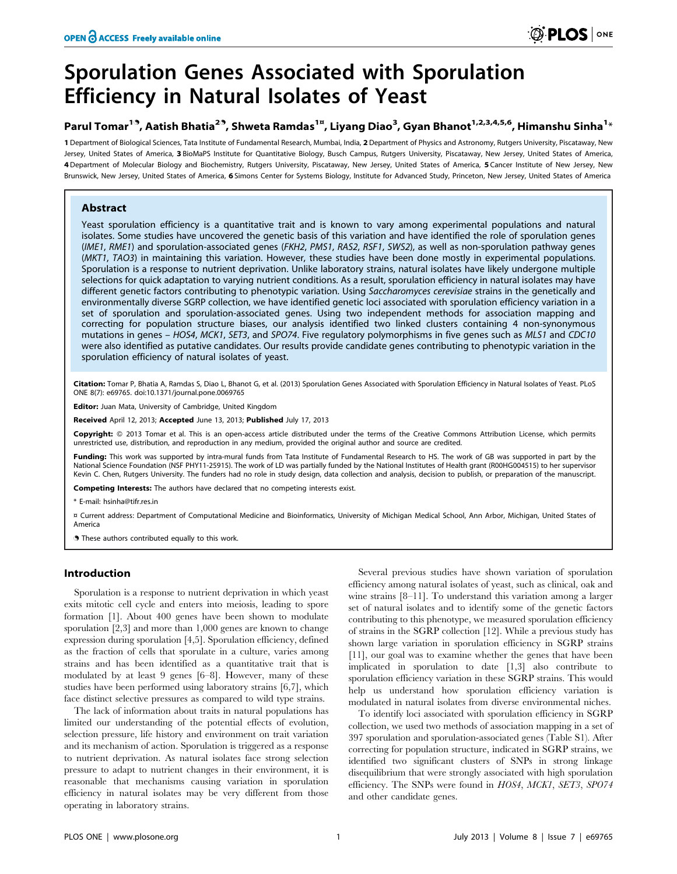# Sporulation Genes Associated with Sporulation Efficiency in Natural Isolates of Yeast

# Parul Tomar<sup>19</sup>, Aatish Bhatia<sup>29</sup>, Shweta Ramdas<sup>1¤</sup>, Liyang Diao<sup>3</sup>, Gyan Bhanot<sup>1,2,3,4,5,6</sup>, Himanshu Sinha<sup>1</sup>\*

1 Department of Biological Sciences, Tata Institute of Fundamental Research, Mumbai, India, 2 Department of Physics and Astronomy, Rutgers University, Piscataway, New Jersey, United States of America, 3 BioMaPS Institute for Quantitative Biology, Busch Campus, Rutgers University, Piscataway, New Jersey, United States of America, 4 Department of Molecular Biology and Biochemistry, Rutgers University, Piscataway, New Jersey, United States of America, 5 Cancer Institute of New Jersey, New Brunswick, New Jersey, United States of America, 6 Simons Center for Systems Biology, Institute for Advanced Study, Princeton, New Jersey, United States of America

# Abstract

Yeast sporulation efficiency is a quantitative trait and is known to vary among experimental populations and natural isolates. Some studies have uncovered the genetic basis of this variation and have identified the role of sporulation genes (*IME1*, *RME1*) and sporulation-associated genes (*FKH2*, *PMS1*, *RAS2*, *RSF1*, *SWS2*), as well as non-sporulation pathway genes (*MKT1*, *TAO3*) in maintaining this variation. However, these studies have been done mostly in experimental populations. Sporulation is a response to nutrient deprivation. Unlike laboratory strains, natural isolates have likely undergone multiple selections for quick adaptation to varying nutrient conditions. As a result, sporulation efficiency in natural isolates may have different genetic factors contributing to phenotypic variation. Using *Saccharomyces cerevisiae* strains in the genetically and environmentally diverse SGRP collection, we have identified genetic loci associated with sporulation efficiency variation in a set of sporulation and sporulation-associated genes. Using two independent methods for association mapping and correcting for population structure biases, our analysis identified two linked clusters containing 4 non-synonymous mutations in genes – *HOS4*, *MCK1*, *SET3*, and *SPO74*. Five regulatory polymorphisms in five genes such as *MLS1* and *CDC10* were also identified as putative candidates. Our results provide candidate genes contributing to phenotypic variation in the sporulation efficiency of natural isolates of yeast.

Citation: Tomar P, Bhatia A, Ramdas S, Diao L, Bhanot G, et al. (2013) Sporulation Genes Associated with Sporulation Efficiency in Natural Isolates of Yeast. PLoS ONE 8(7): e69765. doi:10.1371/journal.pone.0069765

Editor: Juan Mata, University of Cambridge, United Kingdom

Received April 12, 2013; Accepted June 13, 2013; Published July 17, 2013

Copyright: @ 2013 Tomar et al. This is an open-access article distributed under the terms of the Creative Commons Attribution License, which permits unrestricted use, distribution, and reproduction in any medium, provided the original author and source are credited.

Funding: This work was supported by intra-mural funds from Tata Institute of Fundamental Research to HS. The work of GB was supported in part by the National Science Foundation (NSF PHY11-25915). The work of LD was partially funded by the National Institutes of Health grant (R00HG004515) to her supervisor Kevin C. Chen, Rutgers University. The funders had no role in study design, data collection and analysis, decision to publish, or preparation of the manuscript.

Competing Interests: The authors have declared that no competing interests exist.

\* E-mail: hsinha@tifr.res.in

¤ Current address: Department of Computational Medicine and Bioinformatics, University of Michigan Medical School, Ann Arbor, Michigan, United States of America

**.** These authors contributed equally to this work.

# Introduction

Sporulation is a response to nutrient deprivation in which yeast exits mitotic cell cycle and enters into meiosis, leading to spore formation [1]. About 400 genes have been shown to modulate sporulation [2,3] and more than 1,000 genes are known to change expression during sporulation [4,5]. Sporulation efficiency, defined as the fraction of cells that sporulate in a culture, varies among strains and has been identified as a quantitative trait that is modulated by at least 9 genes [6–8]. However, many of these studies have been performed using laboratory strains [6,7], which face distinct selective pressures as compared to wild type strains.

The lack of information about traits in natural populations has limited our understanding of the potential effects of evolution, selection pressure, life history and environment on trait variation and its mechanism of action. Sporulation is triggered as a response to nutrient deprivation. As natural isolates face strong selection pressure to adapt to nutrient changes in their environment, it is reasonable that mechanisms causing variation in sporulation efficiency in natural isolates may be very different from those operating in laboratory strains.

Several previous studies have shown variation of sporulation efficiency among natural isolates of yeast, such as clinical, oak and wine strains [8–11]. To understand this variation among a larger set of natural isolates and to identify some of the genetic factors contributing to this phenotype, we measured sporulation efficiency of strains in the SGRP collection [12]. While a previous study has shown large variation in sporulation efficiency in SGRP strains [11], our goal was to examine whether the genes that have been implicated in sporulation to date [1,3] also contribute to sporulation efficiency variation in these SGRP strains. This would help us understand how sporulation efficiency variation is modulated in natural isolates from diverse environmental niches.

To identify loci associated with sporulation efficiency in SGRP collection, we used two methods of association mapping in a set of 397 sporulation and sporulation-associated genes (Table S1). After correcting for population structure, indicated in SGRP strains, we identified two significant clusters of SNPs in strong linkage disequilibrium that were strongly associated with high sporulation efficiency. The SNPs were found in HOS4, MCK1, SET3, SPO74 and other candidate genes.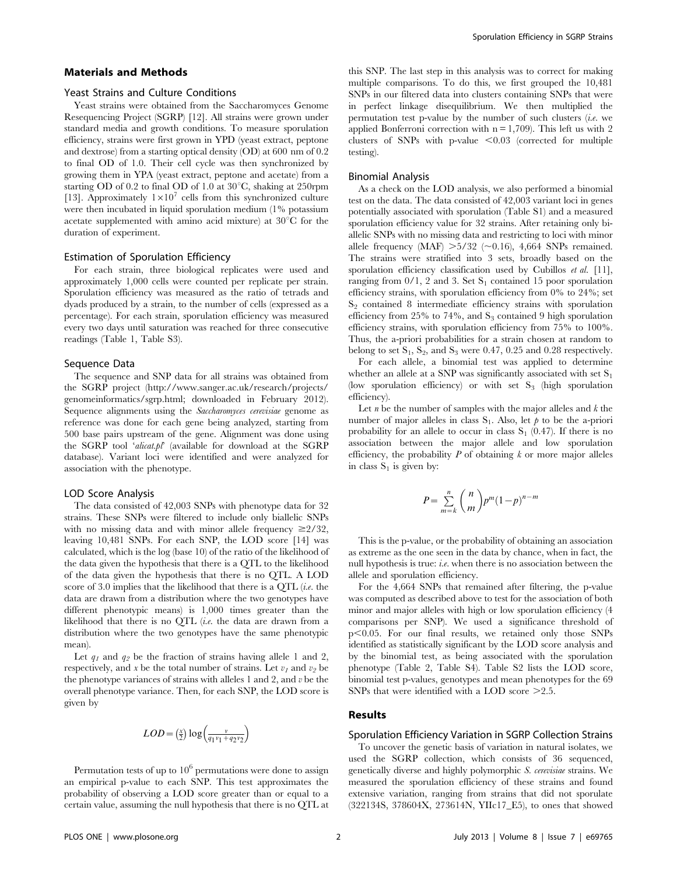#### Materials and Methods

# Yeast Strains and Culture Conditions

Yeast strains were obtained from the Saccharomyces Genome Resequencing Project (SGRP) [12]. All strains were grown under standard media and growth conditions. To measure sporulation efficiency, strains were first grown in YPD (yeast extract, peptone and dextrose) from a starting optical density (OD) at 600 nm of 0.2 to final OD of 1.0. Their cell cycle was then synchronized by growing them in YPA (yeast extract, peptone and acetate) from a starting OD of 0.2 to final OD of 1.0 at  $30^{\circ}$ C, shaking at 250rpm [13]. Approximately  $1 \times 10^7$  cells from this synchronized culture were then incubated in liquid sporulation medium (1% potassium acetate supplemented with amino acid mixture) at  $30^{\circ}$ C for the duration of experiment.

#### Estimation of Sporulation Efficiency

For each strain, three biological replicates were used and approximately 1,000 cells were counted per replicate per strain. Sporulation efficiency was measured as the ratio of tetrads and dyads produced by a strain, to the number of cells (expressed as a percentage). For each strain, sporulation efficiency was measured every two days until saturation was reached for three consecutive readings (Table 1, Table S3).

#### Sequence Data

The sequence and SNP data for all strains was obtained from the SGRP project (http://www.sanger.ac.uk/research/projects/ genomeinformatics/sgrp.html; downloaded in February 2012). Sequence alignments using the Saccharomyces cerevisiae genome as reference was done for each gene being analyzed, starting from 500 base pairs upstream of the gene. Alignment was done using the SGRP tool 'alicat.pl' (available for download at the SGRP database). Variant loci were identified and were analyzed for association with the phenotype.

#### LOD Score Analysis

The data consisted of 42,003 SNPs with phenotype data for 32 strains. These SNPs were filtered to include only biallelic SNPs with no missing data and with minor allele frequency  $\geq 2/32$ , leaving 10,481 SNPs. For each SNP, the LOD score [14] was calculated, which is the log (base 10) of the ratio of the likelihood of the data given the hypothesis that there is a QTL to the likelihood of the data given the hypothesis that there is no QTL. A LOD score of 3.0 implies that the likelihood that there is a QTL  $(i.e.$  the data are drawn from a distribution where the two genotypes have different phenotypic means) is 1,000 times greater than the likelihood that there is no QTL (i.e. the data are drawn from a distribution where the two genotypes have the same phenotypic mean).

Let  $q_1$  and  $q_2$  be the fraction of strains having allele 1 and 2, respectively, and x be the total number of strains. Let  $v_1$  and  $v_2$  be the phenotype variances of strains with alleles 1 and 2, and  $v$  be the overall phenotype variance. Then, for each SNP, the LOD score is given by

$$
LOD = \left(\frac{x}{2}\right) \log \left(\frac{v}{q_1 v_1 + q_2 v_2}\right)
$$

Permutation tests of up to  $10^6$  permutations were done to assign an empirical p-value to each SNP. This test approximates the probability of observing a LOD score greater than or equal to a certain value, assuming the null hypothesis that there is no QTL at this SNP. The last step in this analysis was to correct for making multiple comparisons. To do this, we first grouped the 10,481 SNPs in our filtered data into clusters containing SNPs that were in perfect linkage disequilibrium. We then multiplied the permutation test p-value by the number of such clusters (i.e. we applied Bonferroni correction with  $n = 1,709$ . This left us with 2 clusters of SNPs with p-value  $<0.03$  (corrected for multiple testing).

#### Binomial Analysis

As a check on the LOD analysis, we also performed a binomial test on the data. The data consisted of 42,003 variant loci in genes potentially associated with sporulation (Table S1) and a measured sporulation efficiency value for 32 strains. After retaining only biallelic SNPs with no missing data and restricting to loci with minor allele frequency (MAF)  $>5/32$  ( $\sim$ 0.16), 4,664 SNPs remained. The strains were stratified into 3 sets, broadly based on the sporulation efficiency classification used by Cubillos et al. [11], ranging from  $0/1$ , 2 and 3. Set  $S_1$  contained 15 poor sporulation efficiency strains, with sporulation efficiency from 0% to 24%; set  $S<sub>2</sub>$  contained 8 intermediate efficiency strains with sporulation efficiency from 25% to 74%, and  $S_3$  contained 9 high sporulation efficiency strains, with sporulation efficiency from 75% to 100%. Thus, the a-priori probabilities for a strain chosen at random to belong to set  $S_1$ ,  $S_2$ , and  $S_3$  were 0.47, 0.25 and 0.28 respectively.

For each allele, a binomial test was applied to determine whether an allele at a SNP was significantly associated with set  $S_1$ (low sporulation efficiency) or with set  $S_3$  (high sporulation efficiency).

Let  $n$  be the number of samples with the major alleles and  $k$  the number of major alleles in class  $S_1$ . Also, let  $\beta$  to be the a-priori probability for an allele to occur in class  $S_1$  (0.47). If there is no association between the major allele and low sporulation efficiency, the probability  $P$  of obtaining  $k$  or more major alleles in class  $S_1$  is given by:

$$
P = \sum_{m=k}^{n} {n \choose m} p^m (1-p)^{n-m}
$$

This is the p-value, or the probability of obtaining an association as extreme as the one seen in the data by chance, when in fact, the null hypothesis is true: i.e. when there is no association between the allele and sporulation efficiency.

For the 4,664 SNPs that remained after filtering, the p-value was computed as described above to test for the association of both minor and major alleles with high or low sporulation efficiency (4 comparisons per SNP). We used a significance threshold of p<0.05. For our final results, we retained only those SNPs identified as statistically significant by the LOD score analysis and by the binomial test, as being associated with the sporulation phenotype (Table 2, Table S4). Table S2 lists the LOD score, binomial test p-values, genotypes and mean phenotypes for the 69 SNPs that were identified with a LOD score  $\geq$ 2.5.

# Results

#### Sporulation Efficiency Variation in SGRP Collection Strains

To uncover the genetic basis of variation in natural isolates, we used the SGRP collection, which consists of 36 sequenced, genetically diverse and highly polymorphic S. cerevisiae strains. We measured the sporulation efficiency of these strains and found extensive variation, ranging from strains that did not sporulate (322134S, 378604X, 273614N, YIIc17\_E5), to ones that showed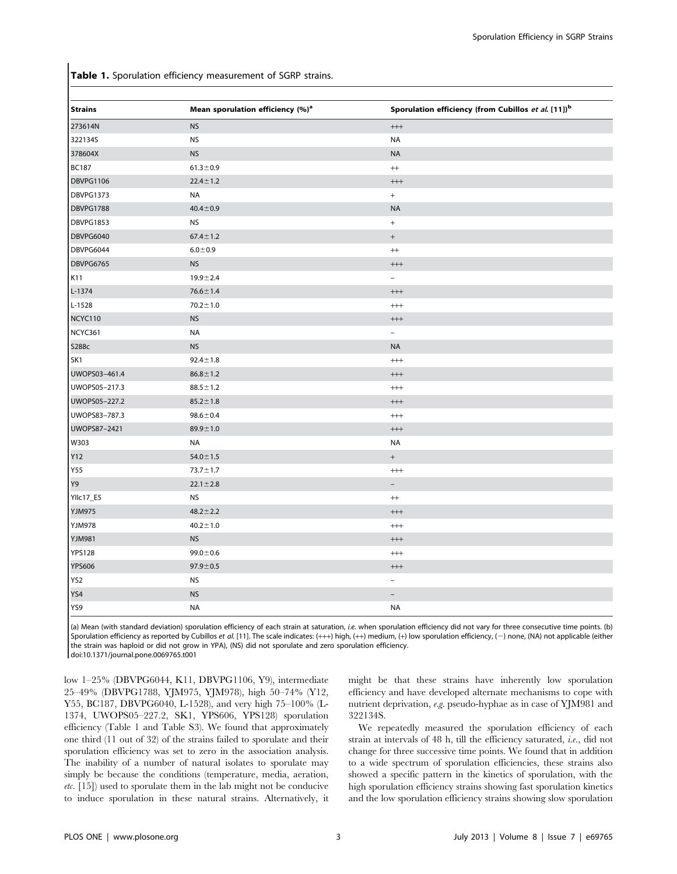Table 1. Sporulation efficiency measurement of SGRP strains.

| <b>Strains</b>   | Mean sporulation efficiency (%) <sup>a</sup> | Sporulation efficiency (from Cubillos et al. [11]) <sup>b</sup> |
|------------------|----------------------------------------------|-----------------------------------------------------------------|
| 273614N          | <b>NS</b>                                    | $\!$                                                            |
| 322134S          | <b>NS</b>                                    | <b>NA</b>                                                       |
| 378604X          | <b>NS</b>                                    | <b>NA</b>                                                       |
| <b>BC187</b>     | $61.3 \pm 0.9$                               | $+ +$                                                           |
| <b>DBVPG1106</b> | $22.4 \pm 1.2$                               | $\pmb{++}$                                                      |
| DBVPG1373        | NA                                           | $^+$                                                            |
| <b>DBVPG1788</b> | $40.4 \pm 0.9$                               | <b>NA</b>                                                       |
| DBVPG1853        | <b>NS</b>                                    | $^+$                                                            |
| <b>DBVPG6040</b> | $67.4 \pm 1.2$                               | $\qquad \qquad +$                                               |
| DBVPG6044        | $6.0 + 0.9$                                  | $^{++}$                                                         |
| DBVPG6765        | <b>NS</b>                                    | $\pmb{++}$                                                      |
| K11              | $19.9 + 2.4$                                 | $\overline{\phantom{0}}$                                        |
| $L-1374$         | $76.6 \pm 1.4$                               | $\pmb{++}$                                                      |
| L-1528           | $70.2 \pm 1.0$                               | $++$                                                            |
| NCYC110          | <b>NS</b>                                    | $^{+++}$                                                        |
| NCYC361          | <b>NA</b>                                    | $\overline{\phantom{0}}$                                        |
| S288c            | <b>NS</b>                                    | <b>NA</b>                                                       |
| SK1              | $92.4 \pm 1.8$                               | $\pmb{++}$                                                      |
| UWOPS03-461.4    | $86.8 \pm 1.2$                               | $\pmb{++}$                                                      |
| UWOPS05-217.3    | $88.5 \pm 1.2$                               | $^{+++}$                                                        |
| UWOPS05-227.2    | $85.2 \pm 1.8$                               | $\pmb{++}$                                                      |
| UWOPS83-787.3    | $98.6 \pm 0.4$                               | $\pmb{++}$                                                      |
| UWOPS87-2421     | $89.9 \pm 1.0$                               | $\pmb{++}$                                                      |
| W303             | <b>NA</b>                                    | NA                                                              |
| Y12              | $54.0 \pm 1.5$                               | $^{+}$                                                          |
| Y55              | $73.7 \pm 1.7$                               | $\pmb{++}$                                                      |
| Y9               | $22.1 \pm 2.8$                               | $\overline{\phantom{0}}$                                        |
| Yllc17_E5        | <b>NS</b>                                    | $^{++}$                                                         |
| YJM975           | $48.2 \pm 2.2$                               | $\pmb{++}$                                                      |
| <b>YJM978</b>    | $40.2 \pm 1.0$                               | $^{+++}$                                                        |
| <b>YJM981</b>    | <b>NS</b>                                    | $\pmb{++}$                                                      |
| <b>YPS128</b>    | $99.0 \pm 0.6$                               | $^{+++}$                                                        |
| <b>YPS606</b>    | $97.9 \pm 0.5$                               | $^{+++}$                                                        |
| YS <sub>2</sub>  | <b>NS</b>                                    | $\overline{a}$                                                  |
| YS4              | <b>NS</b>                                    | $\overline{a}$                                                  |
| YS9              | <b>NA</b>                                    | ΝA                                                              |

(a) Mean (with standard deviation) sporulation efficiency of each strain at saturation, *i.e.* when sporulation efficiency did not vary for three consecutive time points. (b) Sporulation efficiency as reported by Cubillos et al. [11]. The scale indicates: (+++) high, (++) medium, (+) low sporulation efficiency, (-) none, (NA) not applicable (either the strain was haploid or did not grow in YPA), (NS) did not sporulate and zero sporulation efficiency. doi:10.1371/journal.pone.0069765.t001

low 1–25% (DBVPG6044, K11, DBVPG1106, Y9), intermediate 25–49% (DBVPG1788, YJM975, YJM978), high 50–74% (Y12, Y55, BC187, DBVPG6040, L-1528), and very high 75–100% (L-1374, UWOPS05–227.2, SK1, YPS606, YPS128) sporulation efficiency (Table 1 and Table S3). We found that approximately one third (11 out of 32) of the strains failed to sporulate and their sporulation efficiency was set to zero in the association analysis. The inability of a number of natural isolates to sporulate may simply be because the conditions (temperature, media, aeration, etc. [15]) used to sporulate them in the lab might not be conducive to induce sporulation in these natural strains. Alternatively, it

might be that these strains have inherently low sporulation efficiency and have developed alternate mechanisms to cope with nutrient deprivation, e.g. pseudo-hyphae as in case of YJM981 and 322134S.

We repeatedly measured the sporulation efficiency of each strain at intervals of 48 h, till the efficiency saturated, i.e., did not change for three successive time points. We found that in addition to a wide spectrum of sporulation efficiencies, these strains also showed a specific pattern in the kinetics of sporulation, with the high sporulation efficiency strains showing fast sporulation kinetics and the low sporulation efficiency strains showing slow sporulation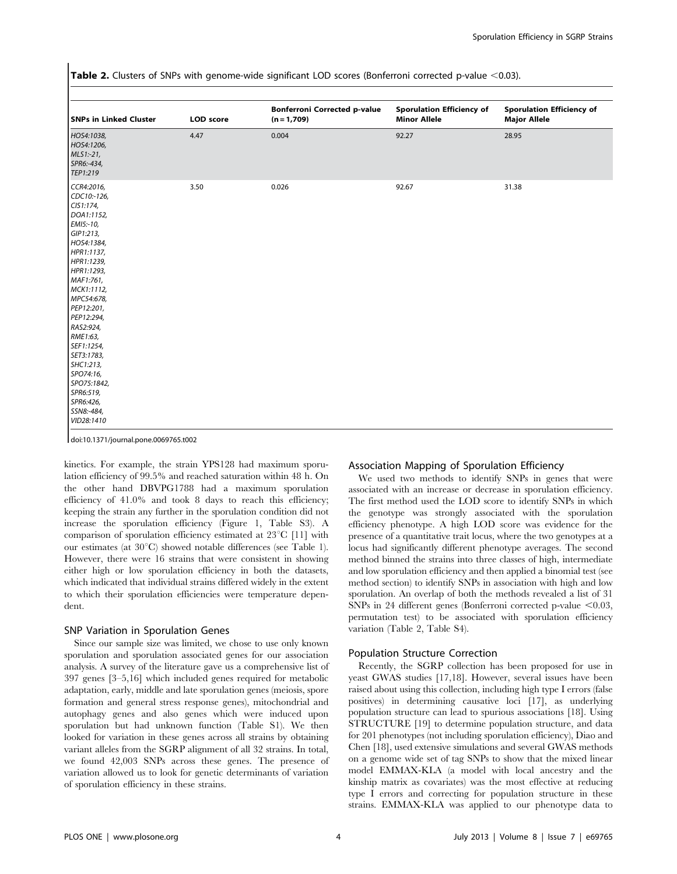**Table 2.** Clusters of SNPs with genome-wide significant LOD scores (Bonferroni corrected p-value  $\leq$ 0.03).

| <b>SNPs in Linked Cluster</b>                                                                                                                                                                                                                                                                                                                                   | <b>LOD</b> score | <b>Bonferroni Corrected p-value</b><br>$(n = 1,709)$ | <b>Sporulation Efficiency of</b><br><b>Minor Allele</b> | <b>Sporulation Efficiency of</b><br><b>Major Allele</b> |
|-----------------------------------------------------------------------------------------------------------------------------------------------------------------------------------------------------------------------------------------------------------------------------------------------------------------------------------------------------------------|------------------|------------------------------------------------------|---------------------------------------------------------|---------------------------------------------------------|
| HOS4:1038,<br>HOS4:1206,<br>$MLS1:-21$ ,<br>SPR6:-434,<br>TEP1:219                                                                                                                                                                                                                                                                                              | 4.47             | 0.004                                                | 92.27                                                   | 28.95                                                   |
| CCR4:2016,<br>CDC10:-126,<br>CIS1:174,<br>DOA1:1152,<br>EMI5:-10,<br>GIP1:213,<br>HOS4:1384,<br>HPR1:1137,<br>HPR1:1239,<br>HPR1:1293,<br>MAF1:761,<br>MCK1:1112,<br>MPC54:678,<br>PEP12:201,<br>PEP12:294,<br>RAS2:924,<br>RME1:63,<br>SEF1:1254,<br>SET3:1783,<br>SHC1:213,<br>SPO74:16,<br>SPO75:1842,<br>SPR6:519,<br>SPR6:426,<br>SSN8:-484,<br>VID28:1410 | 3.50             | 0.026                                                | 92.67                                                   | 31.38                                                   |

doi:10.1371/journal.pone.0069765.t002

kinetics. For example, the strain YPS128 had maximum sporulation efficiency of 99.5% and reached saturation within 48 h. On the other hand DBVPG1788 had a maximum sporulation efficiency of 41.0% and took 8 days to reach this efficiency; keeping the strain any further in the sporulation condition did not increase the sporulation efficiency (Figure 1, Table S3). A comparison of sporulation efficiency estimated at  $23^{\circ}C$  [11] with our estimates (at  $30^{\circ}$ C) showed notable differences (see Table 1). However, there were 16 strains that were consistent in showing either high or low sporulation efficiency in both the datasets, which indicated that individual strains differed widely in the extent to which their sporulation efficiencies were temperature dependent.

# SNP Variation in Sporulation Genes

Since our sample size was limited, we chose to use only known sporulation and sporulation associated genes for our association analysis. A survey of the literature gave us a comprehensive list of 397 genes [3–5,16] which included genes required for metabolic adaptation, early, middle and late sporulation genes (meiosis, spore formation and general stress response genes), mitochondrial and autophagy genes and also genes which were induced upon sporulation but had unknown function (Table S1). We then looked for variation in these genes across all strains by obtaining variant alleles from the SGRP alignment of all 32 strains. In total, we found 42,003 SNPs across these genes. The presence of variation allowed us to look for genetic determinants of variation of sporulation efficiency in these strains.

# Association Mapping of Sporulation Efficiency

We used two methods to identify SNPs in genes that were associated with an increase or decrease in sporulation efficiency. The first method used the LOD score to identify SNPs in which the genotype was strongly associated with the sporulation efficiency phenotype. A high LOD score was evidence for the presence of a quantitative trait locus, where the two genotypes at a locus had significantly different phenotype averages. The second method binned the strains into three classes of high, intermediate and low sporulation efficiency and then applied a binomial test (see method section) to identify SNPs in association with high and low sporulation. An overlap of both the methods revealed a list of 31 SNPs in 24 different genes (Bonferroni corrected p-value  $\leq 0.03$ , permutation test) to be associated with sporulation efficiency variation (Table 2, Table S4).

#### Population Structure Correction

Recently, the SGRP collection has been proposed for use in yeast GWAS studies [17,18]. However, several issues have been raised about using this collection, including high type I errors (false positives) in determining causative loci [17], as underlying population structure can lead to spurious associations [18]. Using STRUCTURE [19] to determine population structure, and data for 201 phenotypes (not including sporulation efficiency), Diao and Chen [18], used extensive simulations and several GWAS methods on a genome wide set of tag SNPs to show that the mixed linear model EMMAX-KLA (a model with local ancestry and the kinship matrix as covariates) was the most effective at reducing type I errors and correcting for population structure in these strains. EMMAX-KLA was applied to our phenotype data to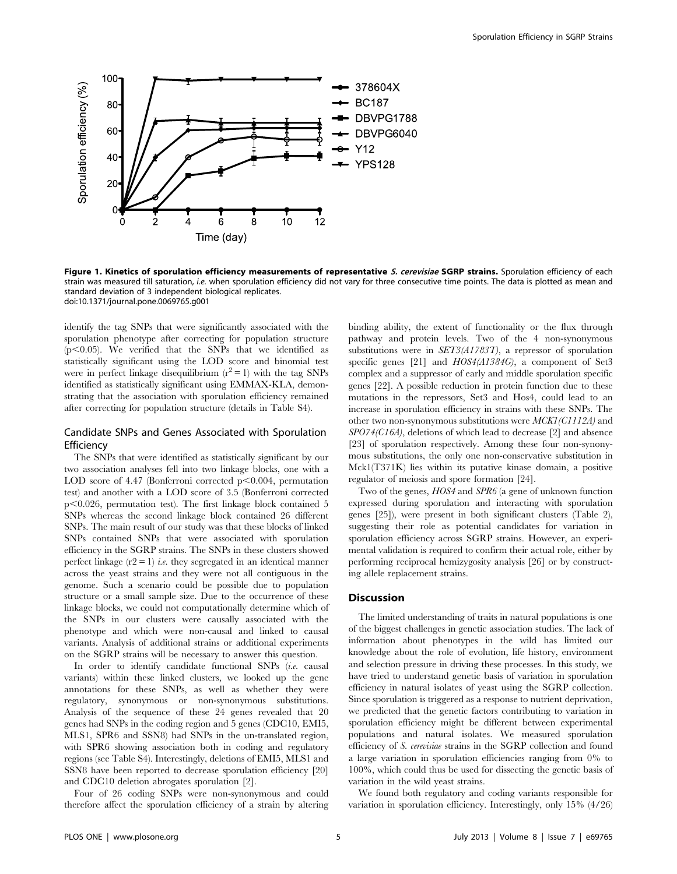

Figure 1. Kinetics of sporulation efficiency measurements of representative S. cerevisiae SGRP strains. Sporulation efficiency of each strain was measured till saturation, *i.e.* when sporulation efficiency did not vary for three consecutive time points. The data is plotted as mean and standard deviation of 3 independent biological replicates. doi:10.1371/journal.pone.0069765.g001

identify the tag SNPs that were significantly associated with the sporulation phenotype after correcting for population structure  $(p<0.05)$ . We verified that the SNPs that we identified as statistically significant using the LOD score and binomial test were in perfect linkage disequilibrium  $(r^2 = 1)$  with the tag SNPs identified as statistically significant using EMMAX-KLA, demonstrating that the association with sporulation efficiency remained after correcting for population structure (details in Table S4).

# Candidate SNPs and Genes Associated with Sporulation **Efficiency**

The SNPs that were identified as statistically significant by our two association analyses fell into two linkage blocks, one with a LOD score of 4.47 (Bonferroni corrected  $p<0.004$ , permutation test) and another with a LOD score of 3.5 (Bonferroni corrected  $p<0.026$ , permutation test). The first linkage block contained 5 SNPs whereas the second linkage block contained 26 different SNPs. The main result of our study was that these blocks of linked SNPs contained SNPs that were associated with sporulation efficiency in the SGRP strains. The SNPs in these clusters showed perfect linkage  $(r2 = 1)$  *i.e.* they segregated in an identical manner across the yeast strains and they were not all contiguous in the genome. Such a scenario could be possible due to population structure or a small sample size. Due to the occurrence of these linkage blocks, we could not computationally determine which of the SNPs in our clusters were causally associated with the phenotype and which were non-causal and linked to causal variants. Analysis of additional strains or additional experiments on the SGRP strains will be necessary to answer this question.

In order to identify candidate functional SNPs (i.e. causal variants) within these linked clusters, we looked up the gene annotations for these SNPs, as well as whether they were regulatory, synonymous or non-synonymous substitutions. Analysis of the sequence of these 24 genes revealed that 20 genes had SNPs in the coding region and 5 genes (CDC10, EMI5, MLS1, SPR6 and SSN8) had SNPs in the un-translated region, with SPR6 showing association both in coding and regulatory regions (see Table S4). Interestingly, deletions of EMI5, MLS1 and SSN8 have been reported to decrease sporulation efficiency [20] and CDC10 deletion abrogates sporulation [2].

Four of 26 coding SNPs were non-synonymous and could therefore affect the sporulation efficiency of a strain by altering binding ability, the extent of functionality or the flux through pathway and protein levels. Two of the 4 non-synonymous substitutions were in SET3(A1783T), a repressor of sporulation specific genes [21] and  $HOS4(A1384G)$ , a component of Set3 complex and a suppressor of early and middle sporulation specific genes [22]. A possible reduction in protein function due to these mutations in the repressors, Set3 and Hos4, could lead to an increase in sporulation efficiency in strains with these SNPs. The other two non-synonymous substitutions were MCK1(C1112A) and SPO74(C16A), deletions of which lead to decrease [2] and absence [23] of sporulation respectively. Among these four non-synonymous substitutions, the only one non-conservative substitution in Mck1(T371K) lies within its putative kinase domain, a positive regulator of meiosis and spore formation [24].

Two of the genes,  $HOS4$  and  $SPR6$  (a gene of unknown function expressed during sporulation and interacting with sporulation genes [25]), were present in both significant clusters (Table 2), suggesting their role as potential candidates for variation in sporulation efficiency across SGRP strains. However, an experimental validation is required to confirm their actual role, either by performing reciprocal hemizygosity analysis [26] or by constructing allele replacement strains.

# Discussion

The limited understanding of traits in natural populations is one of the biggest challenges in genetic association studies. The lack of information about phenotypes in the wild has limited our knowledge about the role of evolution, life history, environment and selection pressure in driving these processes. In this study, we have tried to understand genetic basis of variation in sporulation efficiency in natural isolates of yeast using the SGRP collection. Since sporulation is triggered as a response to nutrient deprivation, we predicted that the genetic factors contributing to variation in sporulation efficiency might be different between experimental populations and natural isolates. We measured sporulation efficiency of S. cerevisiae strains in the SGRP collection and found a large variation in sporulation efficiencies ranging from 0% to 100%, which could thus be used for dissecting the genetic basis of variation in the wild yeast strains.

We found both regulatory and coding variants responsible for variation in sporulation efficiency. Interestingly, only 15% (4/26)